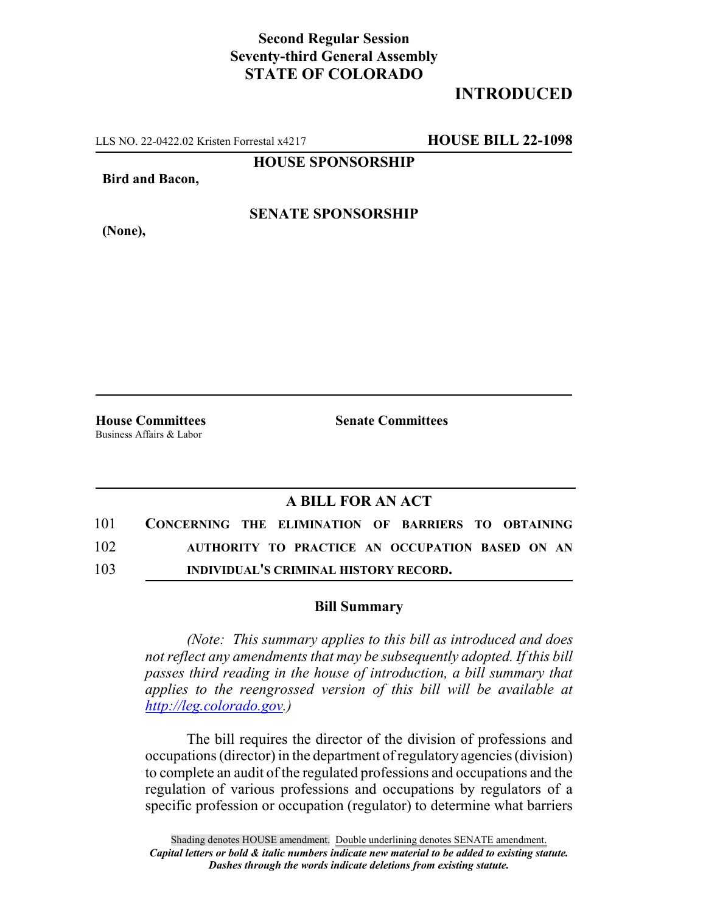## **Second Regular Session Seventy-third General Assembly STATE OF COLORADO**

# **INTRODUCED**

LLS NO. 22-0422.02 Kristen Forrestal x4217 **HOUSE BILL 22-1098**

**HOUSE SPONSORSHIP**

**Bird and Bacon,**

**(None),**

### **SENATE SPONSORSHIP**

Business Affairs & Labor

**House Committees Senate Committees**

### **A BILL FOR AN ACT**

| 101 | CONCERNING THE ELIMINATION OF BARRIERS TO OBTAINING |
|-----|-----------------------------------------------------|
| 102 | AUTHORITY TO PRACTICE AN OCCUPATION BASED ON AN     |
| 103 | INDIVIDUAL'S CRIMINAL HISTORY RECORD.               |

#### **Bill Summary**

*(Note: This summary applies to this bill as introduced and does not reflect any amendments that may be subsequently adopted. If this bill passes third reading in the house of introduction, a bill summary that applies to the reengrossed version of this bill will be available at http://leg.colorado.gov.)*

The bill requires the director of the division of professions and occupations (director) in the department of regulatory agencies (division) to complete an audit of the regulated professions and occupations and the regulation of various professions and occupations by regulators of a specific profession or occupation (regulator) to determine what barriers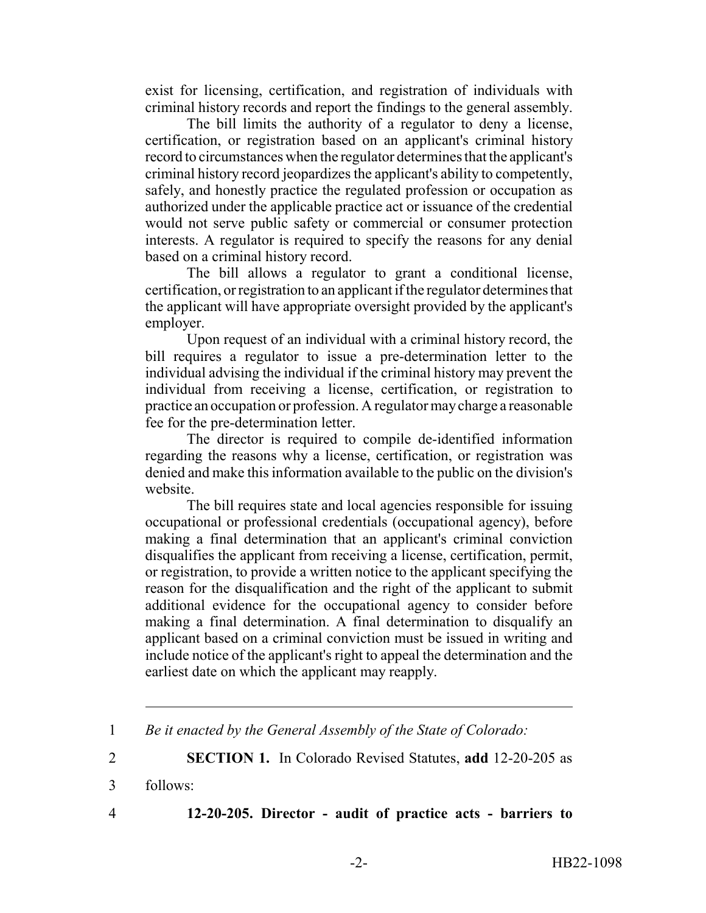exist for licensing, certification, and registration of individuals with criminal history records and report the findings to the general assembly.

The bill limits the authority of a regulator to deny a license, certification, or registration based on an applicant's criminal history record to circumstances when the regulator determines that the applicant's criminal history record jeopardizes the applicant's ability to competently, safely, and honestly practice the regulated profession or occupation as authorized under the applicable practice act or issuance of the credential would not serve public safety or commercial or consumer protection interests. A regulator is required to specify the reasons for any denial based on a criminal history record.

The bill allows a regulator to grant a conditional license, certification, or registration to an applicant if the regulator determines that the applicant will have appropriate oversight provided by the applicant's employer.

Upon request of an individual with a criminal history record, the bill requires a regulator to issue a pre-determination letter to the individual advising the individual if the criminal history may prevent the individual from receiving a license, certification, or registration to practice an occupation or profession. A regulator may charge a reasonable fee for the pre-determination letter.

The director is required to compile de-identified information regarding the reasons why a license, certification, or registration was denied and make this information available to the public on the division's website.

The bill requires state and local agencies responsible for issuing occupational or professional credentials (occupational agency), before making a final determination that an applicant's criminal conviction disqualifies the applicant from receiving a license, certification, permit, or registration, to provide a written notice to the applicant specifying the reason for the disqualification and the right of the applicant to submit additional evidence for the occupational agency to consider before making a final determination. A final determination to disqualify an applicant based on a criminal conviction must be issued in writing and include notice of the applicant's right to appeal the determination and the earliest date on which the applicant may reapply.

2 **SECTION 1.** In Colorado Revised Statutes, **add** 12-20-205 as

3 follows:

4 **12-20-205. Director - audit of practice acts - barriers to**

<sup>1</sup> *Be it enacted by the General Assembly of the State of Colorado:*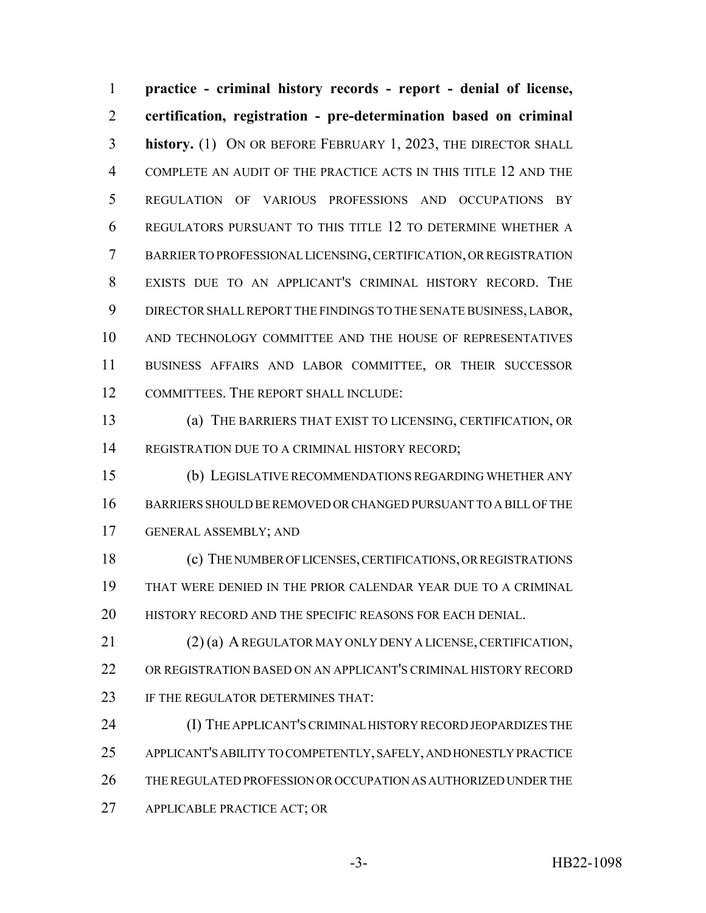**practice - criminal history records - report - denial of license, certification, registration - pre-determination based on criminal history.** (1) ON OR BEFORE FEBRUARY 1, 2023, THE DIRECTOR SHALL COMPLETE AN AUDIT OF THE PRACTICE ACTS IN THIS TITLE 12 AND THE REGULATION OF VARIOUS PROFESSIONS AND OCCUPATIONS BY REGULATORS PURSUANT TO THIS TITLE 12 TO DETERMINE WHETHER A BARRIER TO PROFESSIONAL LICENSING, CERTIFICATION, OR REGISTRATION EXISTS DUE TO AN APPLICANT'S CRIMINAL HISTORY RECORD. THE DIRECTOR SHALL REPORT THE FINDINGS TO THE SENATE BUSINESS, LABOR, AND TECHNOLOGY COMMITTEE AND THE HOUSE OF REPRESENTATIVES BUSINESS AFFAIRS AND LABOR COMMITTEE, OR THEIR SUCCESSOR COMMITTEES. THE REPORT SHALL INCLUDE:

 (a) THE BARRIERS THAT EXIST TO LICENSING, CERTIFICATION, OR REGISTRATION DUE TO A CRIMINAL HISTORY RECORD;

 (b) LEGISLATIVE RECOMMENDATIONS REGARDING WHETHER ANY BARRIERS SHOULD BE REMOVED OR CHANGED PURSUANT TO A BILL OF THE GENERAL ASSEMBLY; AND

 (c) THE NUMBER OF LICENSES, CERTIFICATIONS, OR REGISTRATIONS THAT WERE DENIED IN THE PRIOR CALENDAR YEAR DUE TO A CRIMINAL 20 HISTORY RECORD AND THE SPECIFIC REASONS FOR EACH DENIAL.

 (2) (a) A REGULATOR MAY ONLY DENY A LICENSE, CERTIFICATION, OR REGISTRATION BASED ON AN APPLICANT'S CRIMINAL HISTORY RECORD 23 IF THE REGULATOR DETERMINES THAT:

 (I) THE APPLICANT'S CRIMINAL HISTORY RECORD JEOPARDIZES THE APPLICANT'S ABILITY TO COMPETENTLY, SAFELY, AND HONESTLY PRACTICE THE REGULATED PROFESSION OR OCCUPATION AS AUTHORIZED UNDER THE APPLICABLE PRACTICE ACT; OR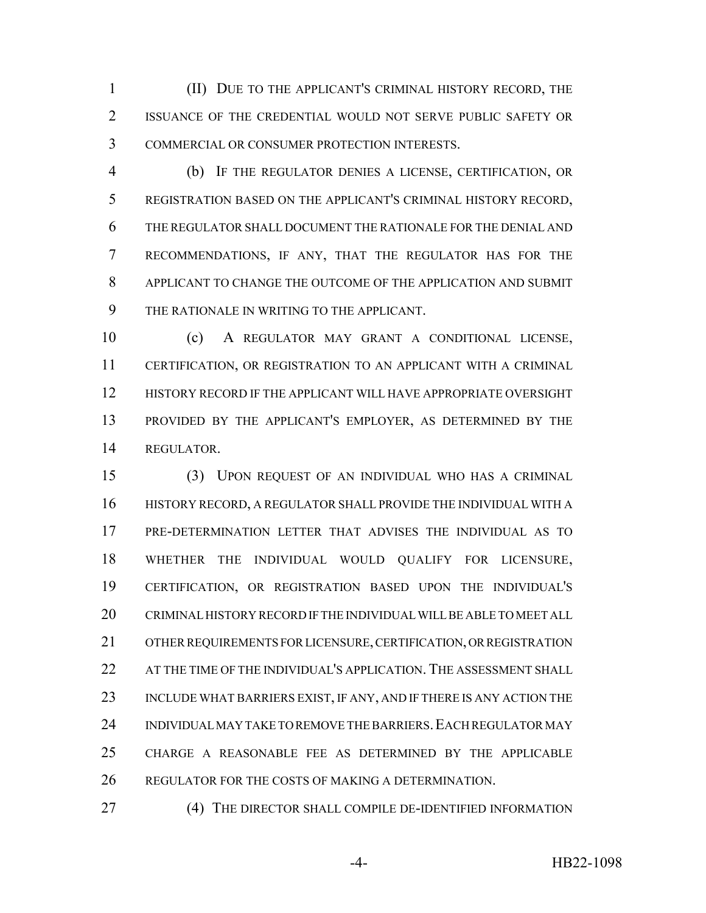(II) DUE TO THE APPLICANT'S CRIMINAL HISTORY RECORD, THE ISSUANCE OF THE CREDENTIAL WOULD NOT SERVE PUBLIC SAFETY OR COMMERCIAL OR CONSUMER PROTECTION INTERESTS.

 (b) IF THE REGULATOR DENIES A LICENSE, CERTIFICATION, OR REGISTRATION BASED ON THE APPLICANT'S CRIMINAL HISTORY RECORD, THE REGULATOR SHALL DOCUMENT THE RATIONALE FOR THE DENIAL AND RECOMMENDATIONS, IF ANY, THAT THE REGULATOR HAS FOR THE APPLICANT TO CHANGE THE OUTCOME OF THE APPLICATION AND SUBMIT THE RATIONALE IN WRITING TO THE APPLICANT.

 (c) A REGULATOR MAY GRANT A CONDITIONAL LICENSE, CERTIFICATION, OR REGISTRATION TO AN APPLICANT WITH A CRIMINAL HISTORY RECORD IF THE APPLICANT WILL HAVE APPROPRIATE OVERSIGHT PROVIDED BY THE APPLICANT'S EMPLOYER, AS DETERMINED BY THE REGULATOR.

 (3) UPON REQUEST OF AN INDIVIDUAL WHO HAS A CRIMINAL HISTORY RECORD, A REGULATOR SHALL PROVIDE THE INDIVIDUAL WITH A PRE-DETERMINATION LETTER THAT ADVISES THE INDIVIDUAL AS TO WHETHER THE INDIVIDUAL WOULD QUALIFY FOR LICENSURE, CERTIFICATION, OR REGISTRATION BASED UPON THE INDIVIDUAL'S CRIMINAL HISTORY RECORD IF THE INDIVIDUAL WILL BE ABLE TO MEET ALL OTHER REQUIREMENTS FOR LICENSURE, CERTIFICATION, OR REGISTRATION 22 AT THE TIME OF THE INDIVIDUAL'S APPLICATION. THE ASSESSMENT SHALL INCLUDE WHAT BARRIERS EXIST, IF ANY, AND IF THERE IS ANY ACTION THE 24 INDIVIDUAL MAY TAKE TO REMOVE THE BARRIERS. EACH REGULATOR MAY CHARGE A REASONABLE FEE AS DETERMINED BY THE APPLICABLE REGULATOR FOR THE COSTS OF MAKING A DETERMINATION.

(4) THE DIRECTOR SHALL COMPILE DE-IDENTIFIED INFORMATION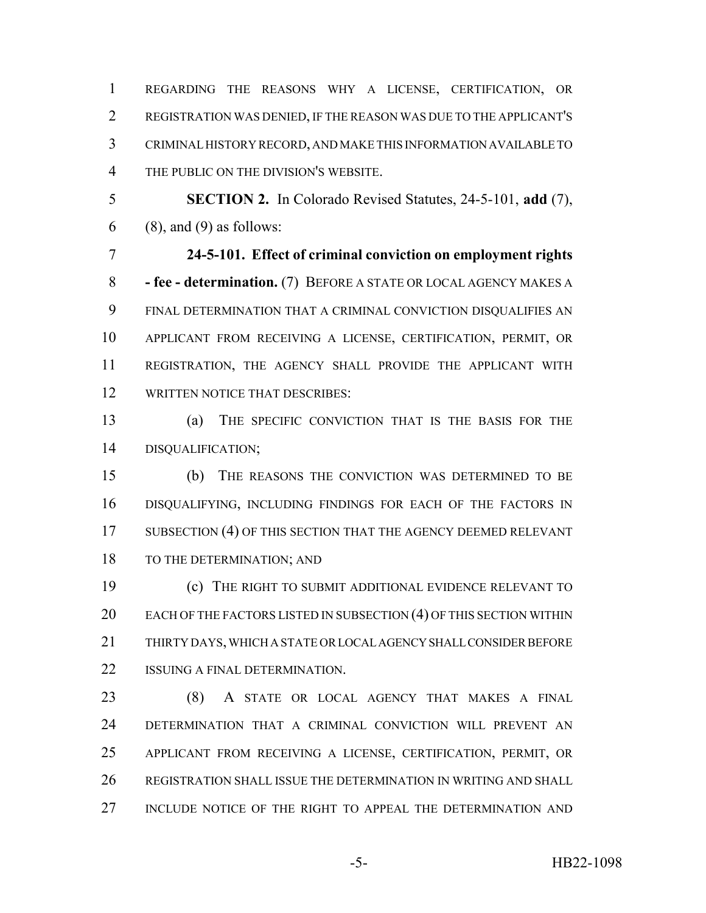REGARDING THE REASONS WHY A LICENSE, CERTIFICATION, OR REGISTRATION WAS DENIED, IF THE REASON WAS DUE TO THE APPLICANT'S CRIMINAL HISTORY RECORD, AND MAKE THIS INFORMATION AVAILABLE TO THE PUBLIC ON THE DIVISION'S WEBSITE.

 **SECTION 2.** In Colorado Revised Statutes, 24-5-101, **add** (7), (8), and (9) as follows:

 **24-5-101. Effect of criminal conviction on employment rights - fee - determination.** (7) BEFORE A STATE OR LOCAL AGENCY MAKES A FINAL DETERMINATION THAT A CRIMINAL CONVICTION DISQUALIFIES AN APPLICANT FROM RECEIVING A LICENSE, CERTIFICATION, PERMIT, OR REGISTRATION, THE AGENCY SHALL PROVIDE THE APPLICANT WITH WRITTEN NOTICE THAT DESCRIBES:

 (a) THE SPECIFIC CONVICTION THAT IS THE BASIS FOR THE DISQUALIFICATION;

 (b) THE REASONS THE CONVICTION WAS DETERMINED TO BE DISQUALIFYING, INCLUDING FINDINGS FOR EACH OF THE FACTORS IN 17 SUBSECTION (4) OF THIS SECTION THAT THE AGENCY DEEMED RELEVANT 18 TO THE DETERMINATION; AND

 (c) THE RIGHT TO SUBMIT ADDITIONAL EVIDENCE RELEVANT TO 20 EACH OF THE FACTORS LISTED IN SUBSECTION (4) OF THIS SECTION WITHIN THIRTY DAYS, WHICH A STATE OR LOCAL AGENCY SHALL CONSIDER BEFORE 22 ISSUING A FINAL DETERMINATION.

 (8) A STATE OR LOCAL AGENCY THAT MAKES A FINAL DETERMINATION THAT A CRIMINAL CONVICTION WILL PREVENT AN APPLICANT FROM RECEIVING A LICENSE, CERTIFICATION, PERMIT, OR REGISTRATION SHALL ISSUE THE DETERMINATION IN WRITING AND SHALL INCLUDE NOTICE OF THE RIGHT TO APPEAL THE DETERMINATION AND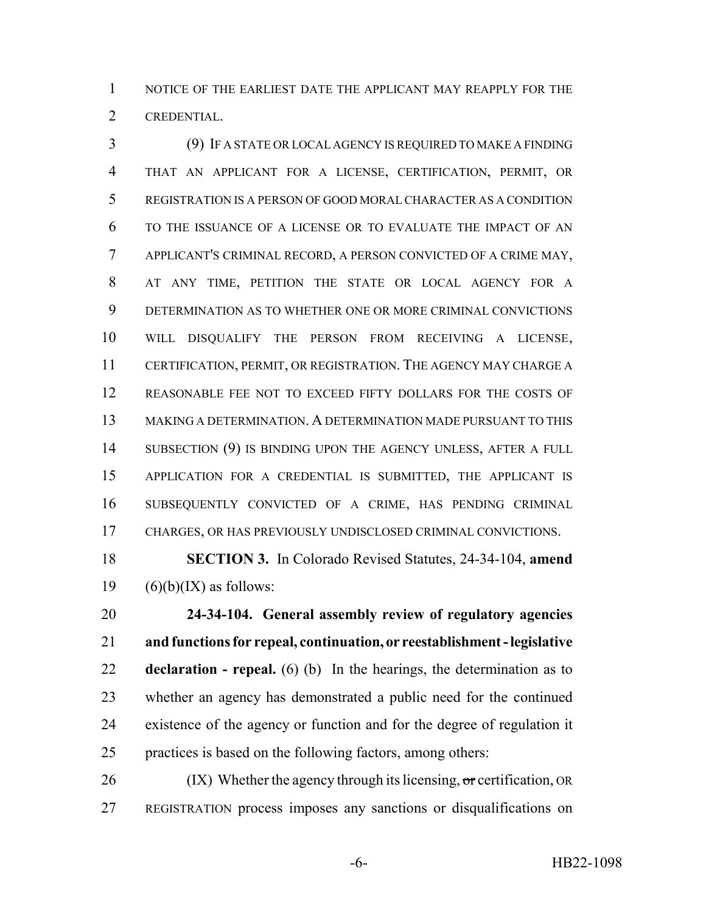NOTICE OF THE EARLIEST DATE THE APPLICANT MAY REAPPLY FOR THE CREDENTIAL.

 (9) IF A STATE OR LOCAL AGENCY IS REQUIRED TO MAKE A FINDING THAT AN APPLICANT FOR A LICENSE, CERTIFICATION, PERMIT, OR REGISTRATION IS A PERSON OF GOOD MORAL CHARACTER AS A CONDITION TO THE ISSUANCE OF A LICENSE OR TO EVALUATE THE IMPACT OF AN APPLICANT'S CRIMINAL RECORD, A PERSON CONVICTED OF A CRIME MAY, AT ANY TIME, PETITION THE STATE OR LOCAL AGENCY FOR A DETERMINATION AS TO WHETHER ONE OR MORE CRIMINAL CONVICTIONS WILL DISQUALIFY THE PERSON FROM RECEIVING A LICENSE, CERTIFICATION, PERMIT, OR REGISTRATION. THE AGENCY MAY CHARGE A REASONABLE FEE NOT TO EXCEED FIFTY DOLLARS FOR THE COSTS OF MAKING A DETERMINATION. A DETERMINATION MADE PURSUANT TO THIS 14 SUBSECTION (9) IS BINDING UPON THE AGENCY UNLESS, AFTER A FULL APPLICATION FOR A CREDENTIAL IS SUBMITTED, THE APPLICANT IS SUBSEQUENTLY CONVICTED OF A CRIME, HAS PENDING CRIMINAL CHARGES, OR HAS PREVIOUSLY UNDISCLOSED CRIMINAL CONVICTIONS.

 **SECTION 3.** In Colorado Revised Statutes, 24-34-104, **amend** 19  $(6)(b)(IX)$  as follows:

 **24-34-104. General assembly review of regulatory agencies and functions for repeal, continuation, or reestablishment - legislative declaration - repeal.** (6) (b) In the hearings, the determination as to whether an agency has demonstrated a public need for the continued existence of the agency or function and for the degree of regulation it practices is based on the following factors, among others:

 (IX) Whether the agency through its licensing, or certification, OR REGISTRATION process imposes any sanctions or disqualifications on